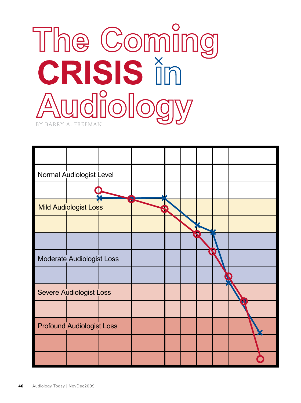

| Normal Audiologist Level         |  |  |  |  |  |
|----------------------------------|--|--|--|--|--|
|                                  |  |  |  |  |  |
| <b>Mild Audiologist Loss</b>     |  |  |  |  |  |
|                                  |  |  |  |  |  |
|                                  |  |  |  |  |  |
| Moderate Audiologist Loss        |  |  |  |  |  |
|                                  |  |  |  |  |  |
| <b>Severe Audiologist Loss</b>   |  |  |  |  |  |
|                                  |  |  |  |  |  |
| <b>Profound Audiologist Loss</b> |  |  |  |  |  |
|                                  |  |  |  |  |  |
|                                  |  |  |  |  |  |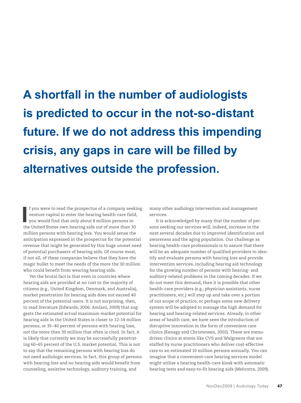**A shortfall in the number of audiologists is predicted to occur in the not-so-distant future. If we do not address this impending crisis, any gaps in care will be filled by alternatives outside the profession.** 

**I** f you were to read the prospectus of a company seekiventure capital to enter the hearing health-care field, you would find that only about 8 million persons in the United States own hearing aids out of more than 30 f you were to read the prospectus of a company seeking venture capital to enter the hearing health-care field, you would find that only about 8 million persons in million persons with hearing loss. You would sense the anticipation expressed in the prospectus for the potential revenue that might be generated by this huge unmet need of potential purchasers of hearing aids. Of course most, if not all, of these companies believe that they have the magic bullet to meet the needs of the more the 30 million who could benefit from wearing hearing aids.

Yet the brutal fact is that even in countries where hearing aids are provided at no cost to the majority of citizens (e.g., United Kingdom, Denmark, and Australia), market penetration for hearing aids does not exceed 40 percent of the potential users. It is not surprising, then, to read literature (Edwards, 2006; Amlani, 2009) that suggests the estimated actual maximum market potential for hearing aids in the United States is closer to 12–14 million persons, or 35–40 percent of persons with hearing loss, not the more than 30 million that often is cited. In fact, it is likely that currently we may be successfully penetrating 60–65 percent of the U.S. market potential. This is not to say that the remaining persons with hearing loss do not need audiologic services. In fact, this group of persons with hearing loss and no hearing aids would benefit from counseling, assistive technology, auditory training, and

many other audiology intervention and management services.

It is acknowledged by many that the number of persons seeking our services will, indeed, increase in the next several decades due to improved identification and awareness and the aging population. Our challenge as hearing health-care professionals is to assure that there will be an adequate number of qualified providers to identify and evaluate persons with hearing loss and provide intervention services, including hearing aid technology for the growing number of persons with hearing- and auditory-related problems in the coming decades. If we do not meet this demand, then it is possible that other health-care providers (e.g., physician assistants, nurse practitioners, etc.) will step up and take over a portion of our scope of practice, or perhaps some new delivery system will be adopted to manage the high demand for hearing and hearing-related services. Already, in other areas of health care, we have seen the introduction of disruptive innovation in the form of convenient care clinics (Kenagy and Christensen, 2002). These are menudriven clinics at stores like CVS and Walgreens that are staffed by nurse practitioners who deliver cost-effective care to an estimated 10 million persons annually. You can imagine that a convenient-care hearing services model might utilize a hearing health-care kiosk with automatic hearing tests and easy-to-fit hearing aids (Mehrotra, 2009).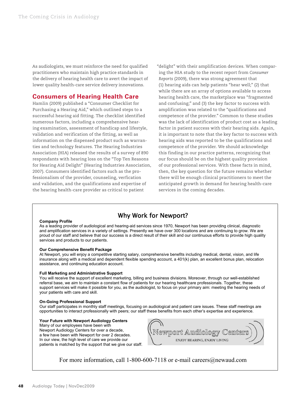As audiologists, we must reinforce the need for qualified practitioners who maintain high practice standards in the delivery of hearing health care to avert the impact of lower quality health-care service delivery innovations.

#### **Consumers of Hearing Health Care**

Hamlin (2009) published a "Consumer Checklist for Purchasing a Hearing Aid," which outlined steps to a successful hearing aid fitting. The checklist identified numerous factors, including a comprehensive hearing examination, assessment of handicap and lifestyle, validation and verification of the fitting, as well as information on the dispensed product such as warranties and technology features. The Hearing Industries Association (HIA) released the results of a survey of 890 respondants with hearing loss on the "Top Ten Reasons for Hearing Aid Delight" (Hearing Industries Association, 2007). Consumers identified factors such as the professionalism of the provider, counseling, verfication and validation, and the qualifications and expertise of the hearing health-care provider as critical to patient

"delight" with their amplification devices. When comparing the HIA study to the recent report from *Consumer Reports* (2009), there was strong agreement that (1) hearing aids can help patients "hear well;" (2) that while there are an array of options available to access hearing health care, the marketplace was "fragmented and confusing;" and (3) the key factor to success with amplification was related to the "qualifications and competence of the provider." Common to these studies was the lack of identification of product cost as a leading factor in patient success with their hearing aids. Again, it is important to note that the key factor to success with hearing aids was reported to be the qualifications and competence of the provider. We should acknowledge this finding in our practice patterns, recognizing that our focus should be on the highest quality provision of our professional services. With these facts in mind, then, the key question for the future remains whether there will be enough clinical practitioners to meet the anticipated growth in demand for hearing health-care services in the coming decades.

## Why Work for Newport?

#### **Company Profile**

As a leading provider of audiological and hearing-aid services since 1970, Newport has been providing clinical, diagnostic and amplification services in a variety of settings. Presently we have over 300 locations and are continuing to grow. We are proud of our staff and believe that our success is a direct result of their skill and our continuous efforts to provide high quality services and products to our patients.

#### **Our Comprehensive Benefit Package**

At Newport, you will enjoy a competitive starting salary, comprehensive benefits including medical, dental, vision, and life insurance along with a medical and dependent flexible spending account, a 401(k) plan, an excellent bonus plan, relocation assistance, and continuing education account.

#### **Full Marketing and Administrative Support**

You will receive the support of excellent marketing, billing and business divisions. Moreover, through our well-established referral base, we aim to maintain a constant flow of patients for our hearing healthcare professionals. Together, these support services will make it possible for you, as the audiologist, to focus on your primary aim: meeting the hearing needs of your patients with care and skill.

#### **On-Going Professional Support**

Our staff participates in monthly staff meetings, focusing on audiological and patient care issues. These staff meetings are opportunities to interact professionally with peers; our staff these benefits from each other's expertise and experience.

#### **Your Future with Newport Audiology Centers**

Many of our employees have been with Newport Audiology Centers for over a decade, a few have been with Newport for over 2 decades. In our view, the high level of care we provide our patients is matched by the support that we give our staff.



For more information, call 1-800-600-7118 or e-mail careers@newaud.com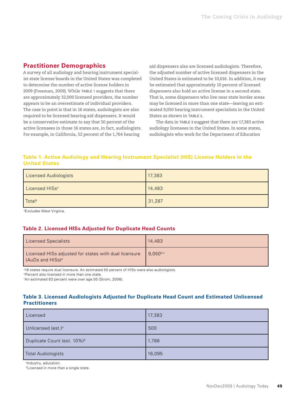## **Practitioner Demographics**

A survey of all audiology and hearing instrument specialist state license boards in the United States was completed to determine the number of active license holders in 2009 (Freeman, 2009). While Table 1 suggests that there are approximately 32,000 licensed providers, the number appears to be an overestimate of individual providers. The case in point is that in 16 states, audiologists are also required to be licensed hearing aid dispensers. It would be a conservative estimate to say that 50 percent of the active licensees in those 16 states are, in fact, audiologists. For example, in California, 52 percent of the 1,764 hearing

aid dispensers also are licensed audiologists. Therefore, the adjusted number of active licensed dispensers in the United States is estimated to be 10,616. In addition, it may be estimated that approximately 10 percent of licensed dispensers also hold an active license in a second state. That is, some dispensers who live near state border areas may be licensed in more than one state—leaving an estimated 9,050 hearing instrument specialists in the United States as shown in Table 2.

The data in Table 3 suggest that there are 17,383 active audiology licensees in the United States. In some states, audiologists who work for the Department of Education

#### **Table 1. Active Audiology and Hearing Instrument Specialist (HIS) License Holders in the United States**

| <b>Licensed Audiologists</b> | 17,383 |
|------------------------------|--------|
| Licensed HISs <sup>a</sup>   | 14,483 |
| Total <sup>a</sup>           | 31,287 |

a Excludes West Virginia.

#### **Table 2. Licensed HISs Adjusted for Duplicate Head Counts**

| <b>Licensed Specialists</b>                                                           | 14,483        |
|---------------------------------------------------------------------------------------|---------------|
| Licensed HISs adjusted for states with dual licensure<br>(AuDs and HISs) <sup>a</sup> | $9.050^{b,c}$ |

a 16 states require dual licensure. An estimated 50 percent of HISs were also audiologists.

*<b>Percent also licensed in more than one state.* 

c An estimated 63 percent were over age 50 (Strom, 2006).

#### **Table 3. Licensed Audiologists Adjusted for Duplicate Head Count and Estimated Unlicensed Practitioners**

| Licensed                                | 17,383 |
|-----------------------------------------|--------|
| Unlicensed (est.) <sup>a</sup>          | 500    |
| Duplicate Count (est. 10%) <sup>b</sup> | 1,788  |
| <b>Total Audiologists</b>               | 16,095 |

a Industry, education.

**bLicensed in more than a single state.**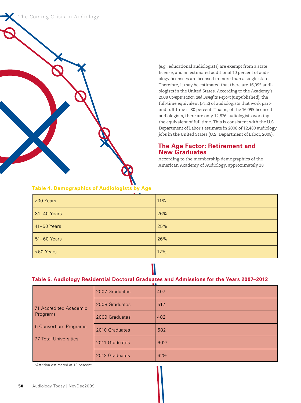



(e.g., educational audiologists) are exempt from a state license, and an estimated additional 10 percent of audiology licensees are licensed in more than a single state. Therefore, it may be estimated that there are 16,095 audiologists in the United States. According to the Academy's *2008 Compensation and Benefits Report* (unpublished), the full-time equivalent (FTE) of audiologists that work partand full-time is 80 percent. That is, of the 16,095 licensed audiologists, there are only 12,876 audiologists working the equivalent of full time. This is consistent with the U.S. Department of Labor's estimate in 2008 of 12,480 audiology jobs in the United States (U.S. Department of Labor, 2008).

#### **The Age Factor: Retirement and New Graduates**

According to the membership demographics of the American Academy of Audiology, approximately 38

| <30 Years   | 11% |
|-------------|-----|
| 31-40 Years | 26% |
| 41-50 Years | 25% |
| 51-60 Years | 26% |
| >60 Years   | 12% |

## **Table 4. Demographics of Audiologists by Age**

#### **Table 5. Audiology Residential Doctoral Graduates and Admissions for the Years 2007–2012**

|                        | 2007 Graduates | and the property<br>407 |
|------------------------|----------------|-------------------------|
| 71 Accredited Academic | 2008 Graduates | 512                     |
| Programs               | 2009 Graduates | 482                     |
| 5 Consortium Programs  | 2010 Graduates | 582                     |
| 77 Total Universities  | 2011 Graduates | 602a                    |
|                        | 2012 Graduates | 629a                    |

<sup>a</sup>Attrition estimated at 10 percent.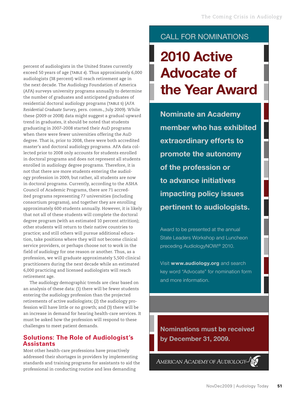percent of audiologists in the United States currently exceed 50 years of age (Table 4). Thus approximately 6,000 audiologists (38 percent) will reach retirement age in the next decade. The Audiology Foundation of America (AFA) surveys university programs annually to determine the number of graduates and anticipated graduates of residential doctoral audiology programs (Table 5) (*AFA Residential Graduate Survey*, pers. comm., July 2009). While these (2009 or 2008) data might suggest a gradual upward trend in graduates, it should be noted that students graduating in 2007–2008 started their AuD programs when there were fewer universities offering the AuD degree. That is, prior to 2008, there were both accredited master's and doctoral audiology programs. AFA data collected prior to 2008 only accounts for students enrolled in doctoral programs and does not represent all students enrolled in audiology degree programs. Therefore, it is not that there are more students entering the audiology profession in 2009, but rather, all students are now in doctoral programs. Currently, according to the ASHA Council of Academic Programs, there are 71 accredited programs representing 77 universities (including consortium programs), and together they are enrolling approximately 600 students annually. However, it is likely that not all of these students will complete the doctoral degree program (with an estimated 10 percent attrition); other students will return to their native countries to practice; and still others will pursue additional education, take positions where they will not become clinical service providers, or perhaps choose not to work in the field of audiology for one reason or another. Thus, as a profession, we will graduate approximately 5,500 clinical practitioners during the next decade while an estimated 6,000 practicing and licensed audiologists will reach retirement age.

The audiology demographic trends are clear based on an analysis of these data: (1) there will be fewer students entering the audiology profession than the projected retirements of active audiologists; (2) the audiology profession will have little or no growth; and (3) there will be an increase in demand for hearing health-care services. It must be asked how the profession will respond to these challenges to meet patient demands.

### **Solutions: The Role of Audiologist's Assistants**

Most other health-care professions have proactively addressed their shortages in providers by implementing standards and training programs for assistants to aid the professional in conducting routine and less demanding

# CALL FOR NOMINATIONS

# **2010 Active Advocate of the Year Award**

**Nominate an Academy member who has exhibited extraordinary efforts to promote the autonomy of the profession or to advance initiatives impacting policy issues pertinent to audiologists.** 

Award to be presented at the annual State Leaders Workshop and Luncheon preceding AudiologyNOW!® 2010.

Visit **www.audiology.org** and search key word "Advocate" for nomination form and more information.

**Nominations must be received by December 31, 2009.**

AMERICAN ACADEMY OF AUDIOLOGY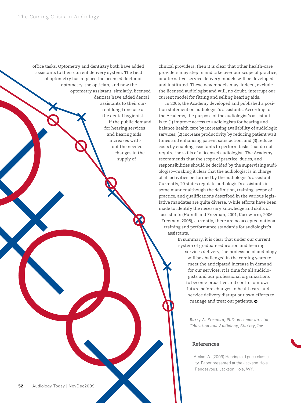

clinical providers, then it is clear that other health-care providers may step in and take over our scope of practice, or alternative service delivery models will be developed and instituted. These new models may, indeed, exclude the licensed audiologist and will, no doubt, interrupt our current model for fitting and selling hearing aids.

In 2006, the Academy developed and published a position statement on audiologist's assistants. According to the Academy, the purpose of the audiologist's assistant is to (1) improve access to audiologists for hearing and balance health care by increasing availability of audiologic services; (2) increase productivity by reducing patient wait times and enhancing patient satisfaction; and (3) reduce costs by enabling assistants to perform tasks that do not require the skills of a licensed audiologist. The Academy recommends that the scope of practice, duties, and responsibilities should be decided by the supervising audiologist—making it clear that the audiologist is in charge of all activities performed by the audiologist's assistant. Currently, 20 states regulate audiologist's assistants in some manner although the definition, training, scope of practice, and qualifications described in the various legislative mandates are quite diverse. While efforts have been made to identify the necessary knowledge and skills of assistants (Hamill and Freeman, 2001; Kasewurm, 2006; Freeman, 2008), currently, there are no accepted national training and performance standards for audiologist's assistants.

> In summary, it is clear that under our current system of graduate education and hearing services delivery, the profession of audiology will be challenged in the coming years to meet the anticipated increase in demand for our services. It is time for all audiologists and our professional organizations to become proactive and control our own future before changes in health care and service delivery disrupt our own efforts to manage and treat our patients.

> > *Barry A. Freeman, PhD, is senior director, Education and Audiology, Starkey, Inc.*

#### **References**

Amlani A. (2009) Hearing aid price elasticity. Paper presented at the Jackson Hole Rendezvous, Jackson Hole, WY.